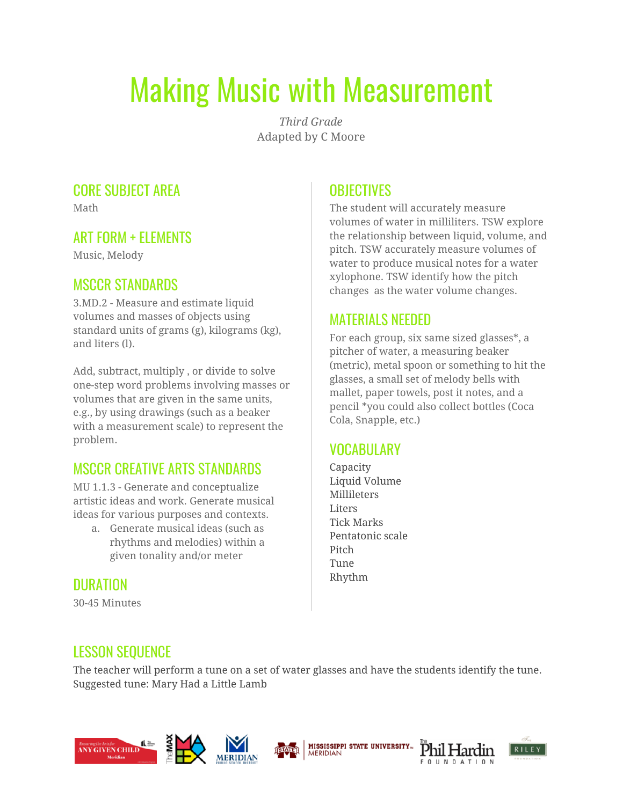# Making Music with Measurement

*Third Grade* Adapted by C Moore

#### CORE SUBJECT AREA

Math

#### ART FORM + ELEMENTS

Music, Melody

#### MSCCR STANDARDS

3.MD.2 - Measure and estimate liquid volumes and masses of objects using standard units of grams (g), kilograms (kg), and liters (l).

Add, subtract, multiply , or divide to solve one-step word problems involving masses or volumes that are given in the same units, e.g., by using drawings (such as a beaker with a measurement scale) to represent the problem.

# MSCCR CREATIVE ARTS STANDARDS

MU 1.1.3 - Generate and conceptualize artistic ideas and work. Generate musical ideas for various purposes and contexts.

a. Generate musical ideas (such as rhythms and melodies) within a given tonality and/or meter

#### **DURATION**

30-45 Minutes

# **OBJECTIVES**

The student will accurately measure volumes of water in milliliters. TSW explore the relationship between liquid, volume, and pitch. TSW accurately measure volumes of water to produce musical notes for a water xylophone. TSW identify how the pitch changes as the water volume changes.

#### MATERIALS NEEDED

For each group, six same sized glasses\*, a pitcher of water, a measuring beaker (metric), metal spoon or something to hit the glasses, a small set of melody bells with mallet, paper towels, post it notes, and a pencil \*you could also collect bottles (Coca Cola, Snapple, etc.)

# VOCABULARY

Capacity Liquid Volume **Millileters** Liters Tick Marks Pentatonic scale Pitch Tune Rhythm

#### LESSON SEQUENCE

The teacher will perform a tune on a set of water glasses and have the students identify the tune. Suggested tune: Mary Had a Little Lamb









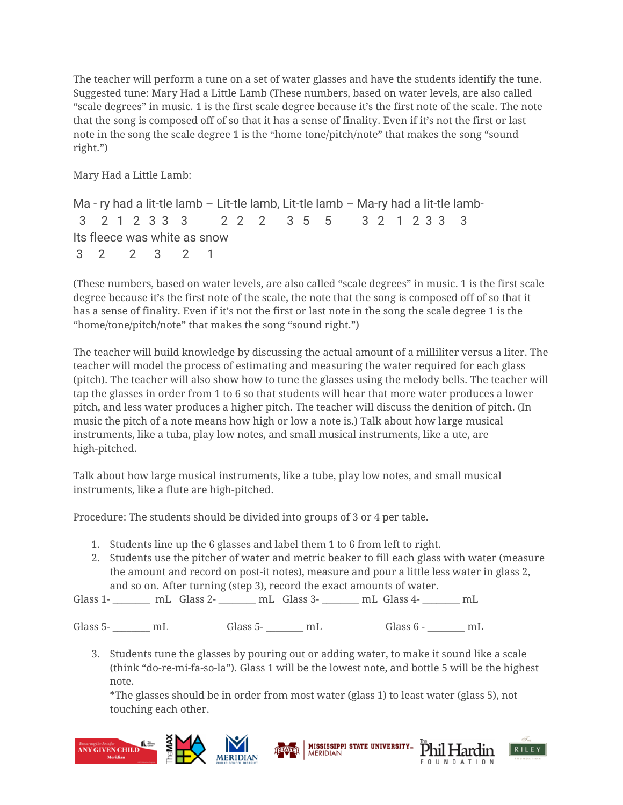The teacher will perform a tune on a set of water glasses and have the students identify the tune. Suggested tune: Mary Had a Little Lamb (These numbers, based on water levels, are also called "scale degrees" in music. 1 is the first scale degree because it's the first note of the scale. The note that the song is composed off of so that it has a sense of finality. Even if it's not the first or last note in the song the scale degree 1 is the "home tone/pitch/note" that makes the song "sound right.")

Mary Had a Little Lamb:

Ma - ry had a lit-tle lamb – Lit-tle lamb, Lit-tle lamb – Ma-ry had a lit-tle lamb- 3 2 1 2 3 3 3 2 2 2 3 5 5 3 2 1 2 3 3 3 Its fleece was white as snow 3 2 2 3 2 1

(These numbers, based on water levels, are also called "scale degrees" in music. 1 is the first scale degree because it's the first note of the scale, the note that the song is composed off of so that it has a sense of finality. Even if it's not the first or last note in the song the scale degree 1 is the "home/tone/pitch/note" that makes the song "sound right.")

The teacher will build knowledge by discussing the actual amount of a milliliter versus a liter. The teacher will model the process of estimating and measuring the water required for each glass (pitch). The teacher will also show how to tune the glasses using the melody bells. The teacher will tap the glasses in order from 1 to 6 so that students will hear that more water produces a lower pitch, and less water produces a higher pitch. The teacher will discuss the denition of pitch. (In music the pitch of a note means how high or low a note is.) Talk about how large musical instruments, like a tuba, play low notes, and small musical instruments, like a ute, are high-pitched.

Talk about how large musical instruments, like a tube, play low notes, and small musical instruments, like a flute are high-pitched.

Procedure: The students should be divided into groups of 3 or 4 per table.

- 1. Students line up the 6 glasses and label them 1 to 6 from left to right.
- 2. Students use the pitcher of water and metric beaker to fill each glass with water (measure the amount and record on post-it notes), measure and pour a little less water in glass 2, and so on. After turning (step 3), record the exact amounts of water.

Glass 1- \_\_\_\_\_\_\_ mL Glass 2- \_\_\_\_\_\_ mL Glass 3- \_\_\_\_\_\_ mL Glass 4- \_\_\_\_\_\_ mL

Glass 5-  $\text{mL}$  Glass 5-  $\text{mL}$  Glass 6 -  $\text{mL}$ 

3. Students tune the glasses by pouring out or adding water, to make it sound like a scale (think "do-re-mi-fa-so-la"). Glass 1 will be the lowest note, and bottle 5 will be the highest note.

\*The glasses should be in order from most water (glass 1) to least water (glass 5), not touching each other.





Phil Hardin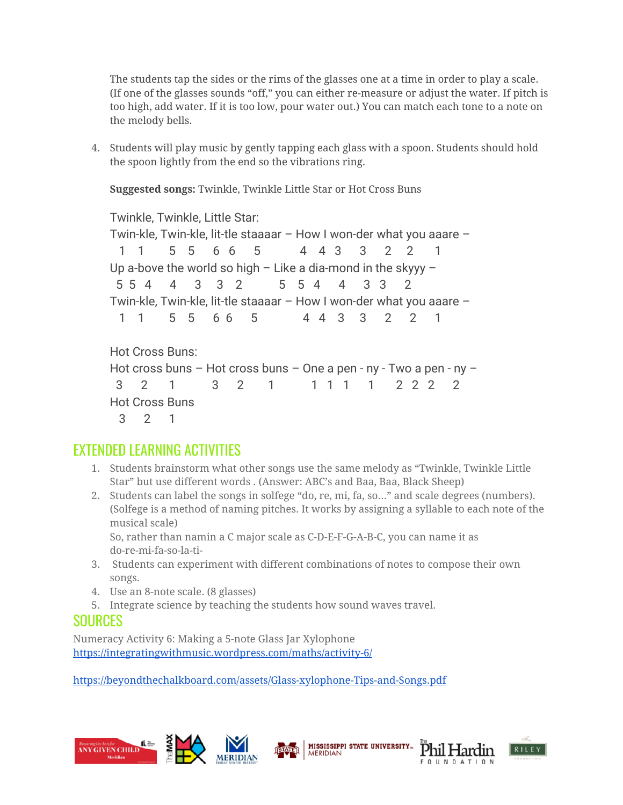The students tap the sides or the rims of the glasses one at a time in order to play a scale. (If one of the glasses sounds "off," you can either re-measure or adjust the water. If pitch is too high, add water. If it is too low, pour water out.) You can match each tone to a note on the melody bells.

4. Students will play music by gently tapping each glass with a spoon. Students should hold the spoon lightly from the end so the vibrations ring.

**Suggested songs:** Twinkle, Twinkle Little Star or Hot Cross Buns

Twinkle, Twinkle, Little Star:

Twin-kle, Twin-kle, lit-tle staaaar – How I won-der what you aaare – 1 1 5 5 6 6 5 4 4 3 3 2 2 1 Up a-bove the world so high  $-$  Like a dia-mond in the skyyy  $-$  5 5 4 4 3 3 2 5 5 4 4 3 3 2 Twin-kle, Twin-kle, lit-tle staaaar – How I won-der what you aaare – 1 1 5 5 6 6 5 4 4 3 3 2 2 1

```
Hot Cross Buns:
Hot cross buns – Hot cross buns – One a pen - ny - Two a pen - ny –
 3 2 1 3 2 1 1 1 1 1 2 2 2 2
Hot Cross Buns
  3 2 1
```
# EXTENDED LEARNING ACTIVITIES

- 1. Students brainstorm what other songs use the same melody as "Twinkle, Twinkle Little Star" but use different words . (Answer: ABC's and Baa, Baa, Black Sheep)
- 2. Students can label the songs in solfege "do, re, mi, fa, so…" and scale degrees (numbers). (Solfege is a method of naming pitches. It works by assigning a syllable to each note of the musical scale)

So, rather than namin a C major scale as C-D-E-F-G-A-B-C, you can name it as do-re-mi-fa-so-la-ti-

- 3. Students can experiment with different combinations of notes to compose their own songs.
- 4. Use an 8-note scale. (8 glasses)
- 5. Integrate science by teaching the students how sound waves travel.

#### **SOURCES**

Numeracy Activity 6: Making a 5-note Glass Jar Xylophone <https://integratingwithmusic.wordpress.com/maths/activity-6/>

<https://beyondthechalkboard.com/assets/Glass-xylophone-Tips-and-Songs.pdf>